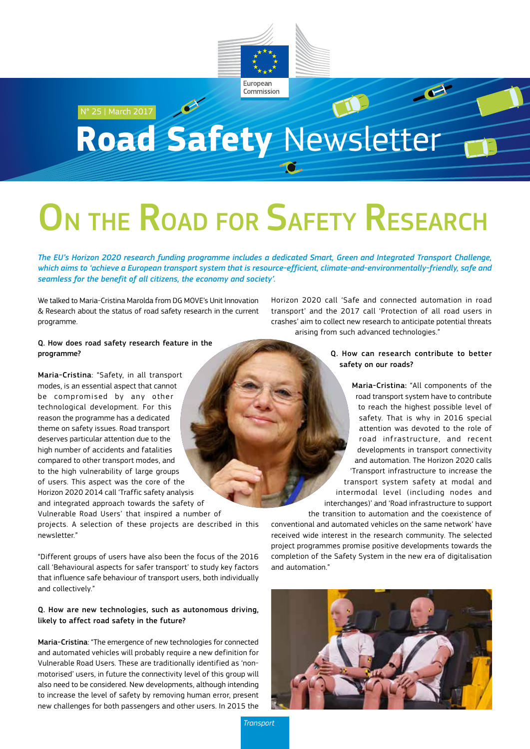

## N° 25 | March 2017 **Road Safety** Newsletter

# ON THE ROAD FOR SAFETY RESEARCH

*The EU's Horizon 2020 research funding programme includes a dedicated Smart, Green and Integrated Transport Challenge, which aims to 'achieve a European transport system that is resource-efficient, climate-and-environmentally-friendly, safe and seamless for the benefit of all citizens, the economy and society'.*

We talked to Maria-Cristina Marolda from DG MOVE's Unit Innovation & Research about the status of road safety research in the current programme.

Horizon 2020 call 'Safe and connected automation in road transport' and the 2017 call 'Protection of all road users in crashes' aim to collect new research to anticipate potential threats arising from such advanced technologies."

#### Q. How does road safety research feature in the programme?

Maria-Cristina: "Safety, in all transport modes, is an essential aspect that cannot be compromised by any other technological development. For this reason the programme has a dedicated theme on safety issues. Road transport deserves particular attention due to the high number of accidents and fatalities compared to other transport modes, and to the high vulnerability of large groups of users. This aspect was the core of the Horizon 2020 2014 call 'Traffic safety analysis and integrated approach towards the safety of Vulnerable Road Users' that inspired a number of projects. A selection of these projects are described in this newsletter."

"Different groups of users have also been the focus of the 2016 call 'Behavioural aspects for safer transport' to study key factors that influence safe behaviour of transport users, both individually and collectively."

### Q. How are new technologies, such as autonomous driving, likely to affect road safety in the future?

Maria-Cristina: "The emergence of new technologies for connected and automated vehicles will probably require a new definition for Vulnerable Road Users. These are traditionally identified as 'nonmotorised' users, in future the connectivity level of this group will also need to be considered. New developments, although intending to increase the level of safety by removing human error, present new challenges for both passengers and other users. In 2015 the

#### Q. How can research contribute to better safety on our roads?

Maria-Cristina: "All components of the road transport system have to contribute to reach the highest possible level of safety. That is why in 2016 special attention was devoted to the role of road infrastructure, and recent developments in transport connectivity and automation. The Horizon 2020 calls 'Transport infrastructure to increase the transport system safety at modal and intermodal level (including nodes and interchanges)' and 'Road infrastructure to support the transition to automation and the coexistence of

conventional and automated vehicles on the same network' have received wide interest in the research community. The selected project programmes promise positive developments towards the completion of the Safety System in the new era of digitalisation and automation."



*Transport*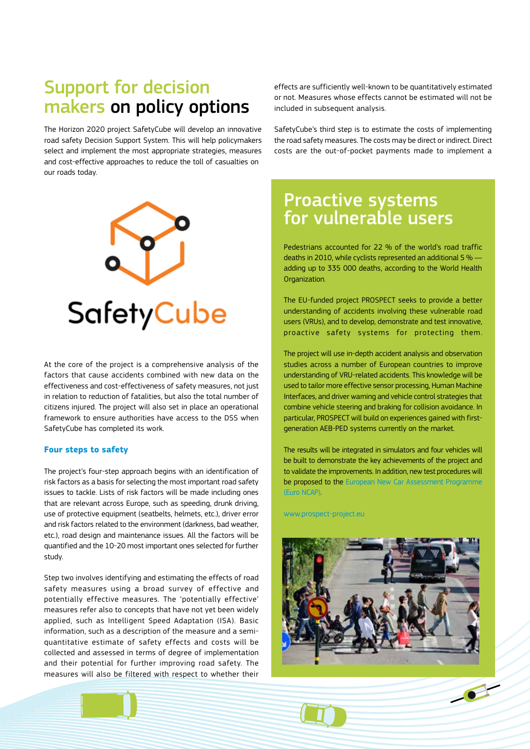### Support for decision makers on policy options

The Horizon 2020 project SafetyCube will develop an innovative road safety Decision Support System. This will help policymakers select and implement the most appropriate strategies, measures and cost-effective approaches to reduce the toll of casualties on our roads today.



At the core of the project is a comprehensive analysis of the factors that cause accidents combined with new data on the effectiveness and cost-effectiveness of safety measures, not just in relation to reduction of fatalities, but also the total number of citizens injured. The project will also set in place an operational framework to ensure authorities have access to the DSS when SafetyCube has completed its work.

#### **Four steps to safety**

The project's four-step approach begins with an identification of risk factors as a basis for selecting the most important road safety issues to tackle. Lists of risk factors will be made including ones that are relevant across Europe, such as speeding, drunk driving, use of protective equipment (seatbelts, helmets, etc.), driver error and risk factors related to the environment (darkness, bad weather, etc.), road design and maintenance issues. All the factors will be quantified and the 10-20 most important ones selected for further study.

Step two involves identifying and estimating the effects of road safety measures using a broad survey of effective and potentially effective measures. The 'potentially effective' measures refer also to concepts that have not yet been widely applied, such as Intelligent Speed Adaptation (ISA). Basic information, such as a description of the measure and a semiquantitative estimate of safety effects and costs will be collected and assessed in terms of degree of implementation and their potential for further improving road safety. The measures will also be filtered with respect to whether their

effects are sufficiently well-known to be quantitatively estimated or not. Measures whose effects cannot be estimated will not be included in subsequent analysis.

SafetyCube's third step is to estimate the costs of implementing the road safety measures. The costs may be direct or indirect. Direct costs are the out-of-pocket payments made to implement a

### Proactive systems for vulnerable users

Pedestrians accounted for 22 % of the world's road traffic deaths in 2010, while cyclists represented an additional 5 % adding up to 335 000 deaths, according to the World Health Organization.

The EU-funded project PROSPECT seeks to provide a better understanding of accidents involving these vulnerable road users (VRUs), and to develop, demonstrate and test innovative, proactive safety systems for protecting them.

The project will use in-depth accident analysis and observation studies across a number of European countries to improve understanding of VRU-related accidents. This knowledge will be used to tailor more effective sensor processing, Human Machine Interfaces, and driver warning and vehicle control strategies that combine vehicle steering and braking for collision avoidance. In particular, PROSPECT will build on experiences gained with firstgeneration AEB-PED systems currently on the market.

The results will be integrated in simulators and four vehicles will be built to demonstrate the key achievements of the project and to validate the improvements. In addition, new test procedures will be proposed to the [European New Car Assessment Programme](http://www.euroncap.com/en)  [\(Euro NCAP\).](http://www.euroncap.com/en)

[www.prospect-project.eu](http://www.prospect-project.eu/) 



 $\bullet$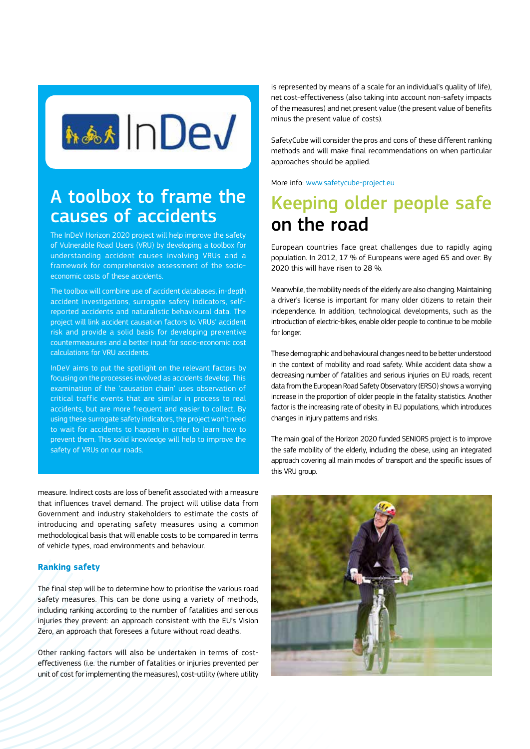

### A toolbox to frame the causes of accidents

The InDeV Horizon 2020 project will help improve the safety of Vulnerable Road Users (VRU) by developing a toolbox for understanding accident causes involving VRUs and a framework for comprehensive assessment of the socioeconomic costs of these accidents.

The toolbox will combine use of accident databases, in-depth accident investigations, surrogate safety indicators, selfreported accidents and naturalistic behavioural data. The project will link accident causation factors to VRUs' accident risk and provide a solid basis for developing preventive countermeasures and a better input for socio-economic cost calculations for VRU accidents.

InDeV aims to put the spotlight on the relevant factors by focusing on the processes involved as accidents develop. This examination of the 'causation chain' uses observation of critical traffic events that are similar in process to real accidents, but are more frequent and easier to collect. By using these surrogate safety indicators, the project won't need to wait for accidents to happen in order to learn how to prevent them. This solid knowledge will help to improve the safety of VRUs on our roads.

measure. Indirect costs are loss of benefit associated with a measure that influences travel demand. The project will utilise data from Government and industry stakeholders to estimate the costs of introducing and operating safety measures using a common methodological basis that will enable costs to be compared in terms of vehicle types, road environments and behaviour.

#### **Ranking safety**

The final step will be to determine how to prioritise the various road safety measures. This can be done using a variety of methods, including ranking according to the number of fatalities and serious injuries they prevent: an approach consistent with the EU's Vision Zero, an approach that foresees a future without road deaths.

Other ranking factors will also be undertaken in terms of costeffectiveness (i.e. the number of fatalities or injuries prevented per unit of cost for implementing the measures), cost-utility (where utility

is represented by means of a scale for an individual's quality of life), net cost-effectiveness (also taking into account non-safety impacts of the measures) and net present value (the present value of benefits minus the present value of costs).

SafetyCube will consider the pros and cons of these different ranking methods and will make final recommendations on when particular approaches should be applied.

More info: [www.safetycube-project.eu](http://www.safetycube-project.eu)

### Keeping older people safe on the road

European countries face great challenges due to rapidly aging population. In 2012, 17 % of Europeans were aged 65 and over. By 2020 this will have risen to 28 %.

Meanwhile, the mobility needs of the elderly are also changing. Maintaining a driver's license is important for many older citizens to retain their independence. In addition, technological developments, such as the introduction of electric-bikes, enable older people to continue to be mobile for longer.

These demographic and behavioural changes need to be better understood in the context of mobility and road safety. While accident data show a decreasing number of fatalities and serious injuries on EU roads, recent data from the European Road Safety Observatory (ERSO) shows a worrying increase in the proportion of older people in the fatality statistics. Another factor is the increasing rate of obesity in EU populations, which introduces changes in injury patterns and risks.

The main goal of the Horizon 2020 funded SENIORS project is to improve the safe mobility of the elderly, including the obese, using an integrated approach covering all main modes of transport and the specific issues of this VRU group.